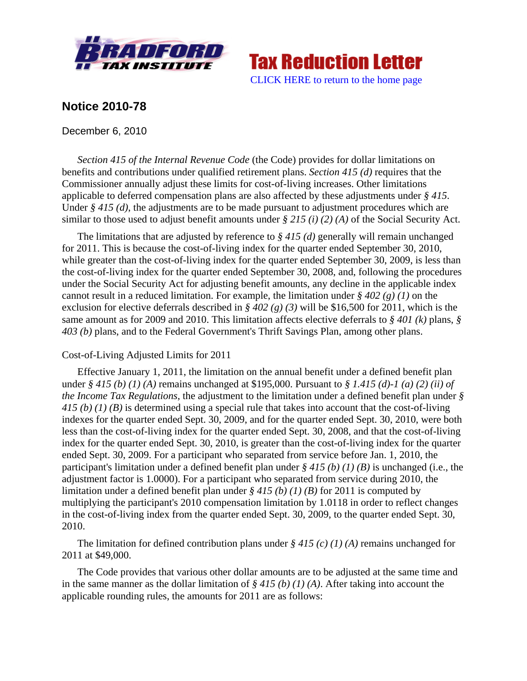



## **Notice 2010-78**

December 6, 2010

*Section 415 of the Internal Revenue Code* (the Code) provides for dollar limitations on benefits and contributions under qualified retirement plans. *Section 415 (d)* requires that the Commissioner annually adjust these limits for cost-of-living increases. Other limitations applicable to deferred compensation plans are also affected by these adjustments under *§ 415*. Under *§ 415 (d)*, the adjustments are to be made pursuant to adjustment procedures which are similar to those used to adjust benefit amounts under *§ 215 (i) (2) (A)* of the Social Security Act.

The limitations that are adjusted by reference to *§ 415 (d)* generally will remain unchanged for 2011. This is because the cost-of-living index for the quarter ended September 30, 2010, while greater than the cost-of-living index for the quarter ended September 30, 2009, is less than the cost-of-living index for the quarter ended September 30, 2008, and, following the procedures under the Social Security Act for adjusting benefit amounts, any decline in the applicable index cannot result in a reduced limitation. For example, the limitation under *§ 402 (g) (1)* on the exclusion for elective deferrals described in *§ 402 (g) (3)* will be \$16,500 for 2011, which is the same amount as for 2009 and 2010. This limitation affects elective deferrals to *§ 401 (k)* plans, *§ 403 (b)* plans, and to the Federal Government's Thrift Savings Plan, among other plans.

## Cost-of-Living Adjusted Limits for 2011

Effective January 1, 2011, the limitation on the annual benefit under a defined benefit plan under *§ 415 (b) (1) (A)* remains unchanged at \$195,000. Pursuant to *§ 1.415 (d)-1 (a) (2) (ii) of the Income Tax Regulations*, the adjustment to the limitation under a defined benefit plan under *§ 415 (b) (1) (B)* is determined using a special rule that takes into account that the cost-of-living indexes for the quarter ended Sept. 30, 2009, and for the quarter ended Sept. 30, 2010, were both less than the cost-of-living index for the quarter ended Sept. 30, 2008, and that the cost-of-living index for the quarter ended Sept. 30, 2010, is greater than the cost-of-living index for the quarter ended Sept. 30, 2009. For a participant who separated from service before Jan. 1, 2010, the participant's limitation under a defined benefit plan under *§ 415 (b) (1) (B)* is unchanged (i.e., the adjustment factor is 1.0000). For a participant who separated from service during 2010, the limitation under a defined benefit plan under *§ 415 (b) (1) (B)* for 2011 is computed by multiplying the participant's 2010 compensation limitation by 1.0118 in order to reflect changes in the cost-of-living index from the quarter ended Sept. 30, 2009, to the quarter ended Sept. 30, 2010.

The limitation for defined contribution plans under *§ 415 (c) (1) (A)* remains unchanged for 2011 at \$49,000.

The Code provides that various other dollar amounts are to be adjusted at the same time and in the same manner as the dollar limitation of *§ 415 (b) (1) (A)*. After taking into account the applicable rounding rules, the amounts for 2011 are as follows: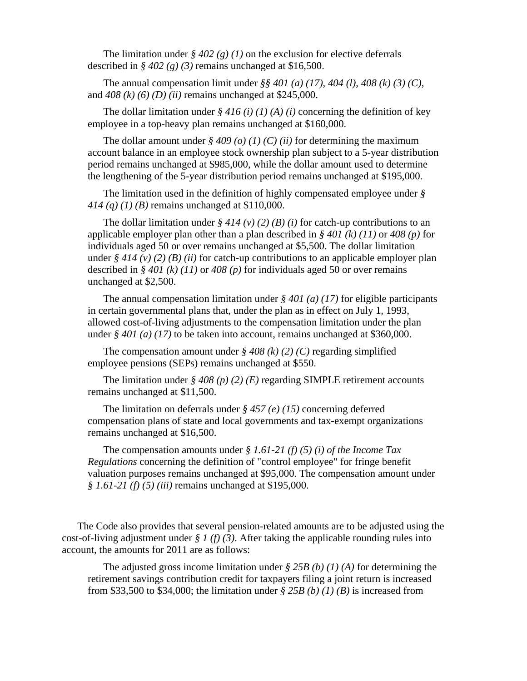The limitation under  $\frac{8}{9}$  402 (g) (1) on the exclusion for elective deferrals described in  $\frac{6}{9}$  402 (g) (3) remains unchanged at \$16,500.

The annual compensation limit under *§§ 401 (a) (17)*, *404 (l)*, *408 (k) (3) (C)*, and *408 (k) (6) (D) (ii)* remains unchanged at \$245,000.

The dollar limitation under  $\frac{2}{3}$  416 (i) (1) (A) (i) concerning the definition of key employee in a top-heavy plan remains unchanged at \$160,000.

The dollar amount under  $\frac{2}{9}$  *409 (o) (1) (C) (ii)* for determining the maximum account balance in an employee stock ownership plan subject to a 5-year distribution period remains unchanged at \$985,000, while the dollar amount used to determine the lengthening of the 5-year distribution period remains unchanged at \$195,000.

The limitation used in the definition of highly compensated employee under *§ 414 (q) (1) (B)* remains unchanged at \$110,000.

The dollar limitation under  $\frac{6}{7}$  414 (v) (2) (B) (i) for catch-up contributions to an applicable employer plan other than a plan described in *§ 401 (k) (11)* or *408 (p)* for individuals aged 50 or over remains unchanged at \$5,500. The dollar limitation under  $\frac{\xi}{4}$  414 (v) (2) (B) (ii) for catch-up contributions to an applicable employer plan described in *§ 401 (k) (11)* or *408 (p)* for individuals aged 50 or over remains unchanged at \$2,500.

The annual compensation limitation under *§ 401 (a) (17)* for eligible participants in certain governmental plans that, under the plan as in effect on July 1, 1993, allowed cost-of-living adjustments to the compensation limitation under the plan under  $\frac{6}{7}$  401 (a) (17) to be taken into account, remains unchanged at \$360,000.

The compensation amount under  $\frac{6}{9}$  408 (k) (2) (C) regarding simplified employee pensions (SEPs) remains unchanged at \$550.

The limitation under *§ 408 (p) (2) (E)* regarding SIMPLE retirement accounts remains unchanged at \$11,500.

The limitation on deferrals under *§ 457 (e) (15)* concerning deferred compensation plans of state and local governments and tax-exempt organizations remains unchanged at \$16,500.

The compensation amounts under *§ 1.61-21 (f) (5) (i) of the Income Tax Regulations* concerning the definition of "control employee" for fringe benefit valuation purposes remains unchanged at \$95,000. The compensation amount under *§ 1.61-21 (f) (5) (iii)* remains unchanged at \$195,000.

The Code also provides that several pension-related amounts are to be adjusted using the cost-of-living adjustment under *§ 1 (f) (3)*. After taking the applicable rounding rules into account, the amounts for 2011 are as follows:

The adjusted gross income limitation under *§ 25B (b) (1) (A)* for determining the retirement savings contribution credit for taxpayers filing a joint return is increased from \$33,500 to \$34,000; the limitation under *§ 25B (b) (1) (B)* is increased from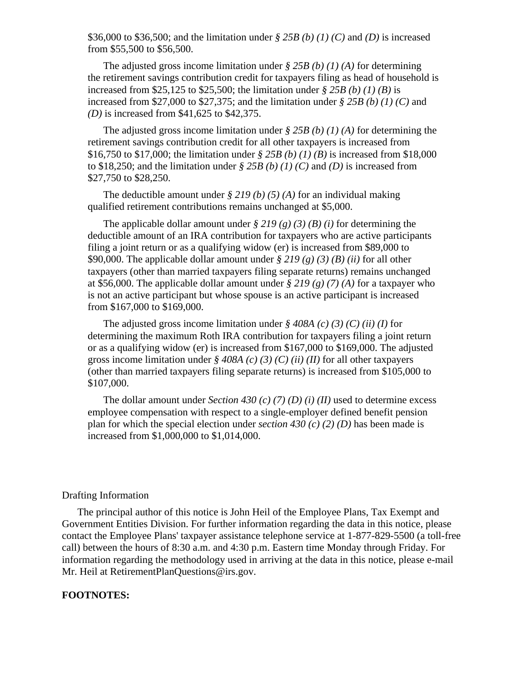\$36,000 to \$36,500; and the limitation under *§ 25B (b) (1) (C)* and *(D)* is increased from \$55,500 to \$56,500.

The adjusted gross income limitation under *§ 25B (b) (1) (A)* for determining the retirement savings contribution credit for taxpayers filing as head of household is increased from \$25,125 to \$25,500; the limitation under *§ 25B (b) (1) (B)* is increased from \$27,000 to \$27,375; and the limitation under *§ 25B (b) (1) (C)* and *(D)* is increased from \$41,625 to \$42,375.

The adjusted gross income limitation under *§ 25B (b) (1) (A)* for determining the retirement savings contribution credit for all other taxpayers is increased from \$16,750 to \$17,000; the limitation under *§ 25B (b) (1) (B)* is increased from \$18,000 to \$18,250; and the limitation under *§ 25B (b) (1) (C)* and *(D)* is increased from \$27,750 to \$28,250.

The deductible amount under *§ 219 (b) (5) (A)* for an individual making qualified retirement contributions remains unchanged at \$5,000.

The applicable dollar amount under  $\frac{8}{2}$  219 (g) (3) (B) (i) for determining the deductible amount of an IRA contribution for taxpayers who are active participants filing a joint return or as a qualifying widow (er) is increased from \$89,000 to \$90,000. The applicable dollar amount under *§ 219 (g) (3) (B) (ii)* for all other taxpayers (other than married taxpayers filing separate returns) remains unchanged at \$56,000. The applicable dollar amount under *§ 219 (g) (7) (A)* for a taxpayer who is not an active participant but whose spouse is an active participant is increased from \$167,000 to \$169,000.

The adjusted gross income limitation under *§ 408A (c) (3) (C) (ii) (I)* for determining the maximum Roth IRA contribution for taxpayers filing a joint return or as a qualifying widow (er) is increased from \$167,000 to \$169,000. The adjusted gross income limitation under *§ 408A (c) (3) (C) (ii) (II)* for all other taxpayers (other than married taxpayers filing separate returns) is increased from \$105,000 to \$107,000.

The dollar amount under *Section 430 (c) (7) (D) (i) (II)* used to determine excess employee compensation with respect to a single-employer defined benefit pension plan for which the special election under *section 430 (c) (2) (D)* has been made is increased from \$1,000,000 to \$1,014,000.

## Drafting Information

The principal author of this notice is John Heil of the Employee Plans, Tax Exempt and Government Entities Division. For further information regarding the data in this notice, please contact the Employee Plans' taxpayer assistance telephone service at 1-877-829-5500 (a toll-free call) between the hours of 8:30 a.m. and 4:30 p.m. Eastern time Monday through Friday. For information regarding the methodology used in arriving at the data in this notice, please e-mail Mr. Heil at RetirementPlanQuestions@irs.gov.

## **FOOTNOTES:**